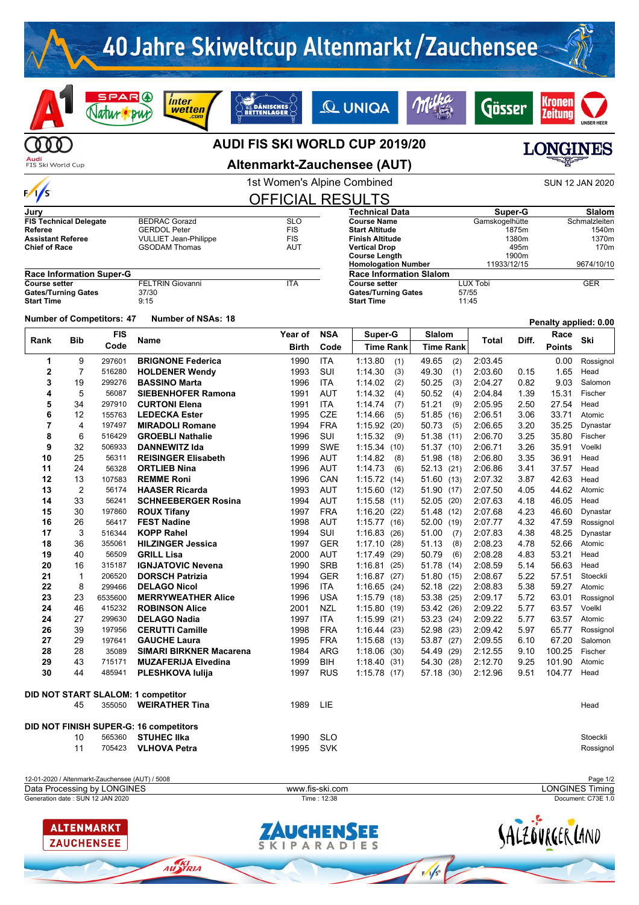

12-01-2020 / Altenmarkt-Zauchensee (AUT) / 5008 Page 1/2 Generation date : SUN 12 JAN 2020 Time : 12:38 Document: C73E 1.0 Data Processing by LONGINES **Example 2008** www.fis-ski.com **LONGINES Timing** 



AU **KI** 

UCHENSEE KIPARADIES SALZOVRGERLAND

 $\frac{1}{\sqrt{5}}$